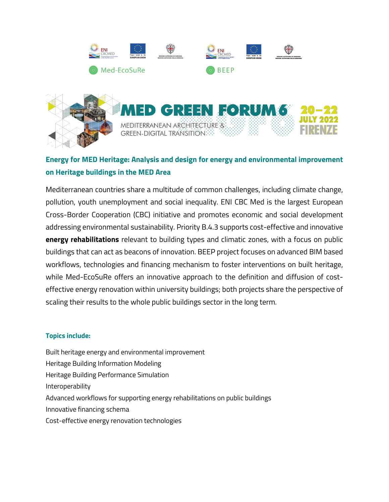

# **Energy for MED Heritage: Analysis and design for energy and environmental improvement on Heritage buildings in the MED Area**

Mediterranean countries share a multitude of common challenges, including climate change, pollution, youth unemployment and social inequality. ENI CBC Med is the largest European Cross-Border Cooperation (CBC) initiative and promotes economic and social development addressing environmental sustainability. Priority B.4.3 supports cost-effective and innovative **energy rehabilitations** relevant to building types and climatic zones, with a focus on public buildings that can act as beacons of innovation. BEEP project focuses on advanced BIM based workflows, technologies and financing mechanism to foster interventions on built heritage, while Med-EcoSuRe offers an innovative approach to the definition and diffusion of costeffective energy renovation within university buildings; both projects share the perspective of scaling their results to the whole public buildings sector in the long term.

## **Topics include:**

Built heritage energy and environmental improvement Heritage Building Information Modeling Heritage Building Performance Simulation Interoperability Advanced workflows for supporting energy rehabilitations on public buildings Innovative financing schema Cost-effective energy renovation technologies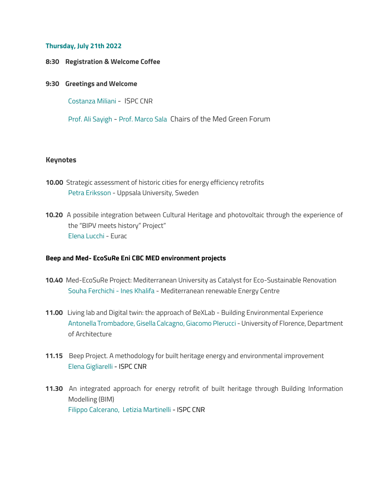#### **Thursday, July 21th 2022**

- **8:30 Registration & Welcome Coffee**
- **9:30 Greetings and Welcome**

Costanza Miliani - ISPC CNR

Prof. Ali Sayigh - Prof. Marco Sala Chairs of the Med Green Forum

### **Keynotes**

- **10.00** Strategic assessment of historic cities for energy efficiency retrofits Petra Eriksson - Uppsala University, Sweden
- **10.20** A possibile integration between Cultural Heritage and photovoltaic through the experience of the "BIPV meets history" Project" Elena Lucchi - Eurac

#### **Beep and Med- EcoSuRe Eni CBC MED environment projects**

- **10.40** Med-EcoSuRe Project: Mediterranean University as Catalyst for Eco-Sustainable Renovation Souha Ferchichi - Ines Khalifa - Mediterranean renewable Energy Centre
- **11.00** Living lab and Digital twin: the approach of BeXLab Building Environmental Experience Antonella Trombadore, Gisella Calcagno, Giacomo PIerucci - University of Florence, Department of Architecture
- **11.15** Beep Project. A methodology for built heritage energy and environmental improvement Elena Gigliarelli - ISPC CNR
- **11.30** An integrated approach for energy retrofit of built heritage through Building Information Modelling (BIM) Filippo Calcerano, Letizia Martinelli - ISPC CNR